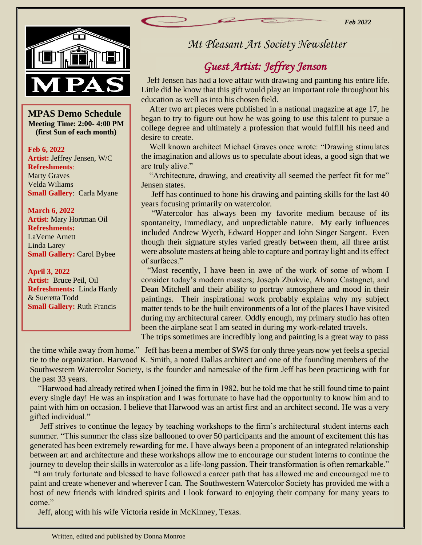*Feb 2022*



 $\frac{1}{\mathbf{S}}$ **MPAS Demo Schedule Meeting Time: 2:00- 4:00 PM (first Sun of each month)**

**Feb 6, 2022 Artist:** Jeffrey Jensen, W/C **Refreshments**: Marty Graves Velda Wiliams **Small Gallery**: Carla Myane

**March 6, 2022 Artist**: Mary Hortman Oil **Refreshments:**  LaVerne Arnett Linda Larey **Small Gallery:** Carol Bybee

**April 3, 2022 Artist:** Bruce Peil, Oil **Refreshments:** Linda Hardy & Sueretta Todd **Small Gallery:** Ruth Francis

### *Mt Pleasant Art Society Newsletter*

# *Guest Artist: Jeffrey Jenson*

 Jeff Jensen has had a love affair with drawing and painting his entire life. Little did he know that this gift would play an important role throughout his education as well as into his chosen field.

 After two art pieces were published in a national magazine at age 17, he began to try to figure out how he was going to use this talent to pursue a college degree and ultimately a profession that would fulfill his need and desire to create.

 Well known architect Michael Graves once wrote: "Drawing stimulates the imagination and allows us to speculate about ideas, a good sign that we are truly alive."

 "Architecture, drawing, and creativity all seemed the perfect fit for me" Jensen states.

 Jeff has continued to hone his drawing and painting skills for the last 40 years focusing primarily on watercolor.

 "Watercolor has always been my favorite medium because of its spontaneity, immediacy, and unpredictable nature. My early influences included Andrew Wyeth, Edward Hopper and John Singer Sargent. Even though their signature styles varied greatly between them, all three artist were absolute masters at being able to capture and portray light and its effect of surfaces."

 "Most recently, I have been in awe of the work of some of whom I consider today's modern masters; Joseph Zbukvic, Alvaro Castagnet, and Dean Mitchell and their ability to portray atmosphere and mood in their paintings. Their inspirational work probably explains why my subject matter tends to be the built environments of a lot of the places I have visited during my architectural career. Oddly enough, my primary studio has often been the airplane seat I am seated in during my work-related travels.

The trips sometimes are incredibly long and painting is a great way to pass

the time while away from home." Jeff has been a member of SWS for only three years now yet feels a special tie to the organization. Harwood K. Smith, a noted Dallas architect and one of the founding members of the Southwestern Watercolor Society, is the founder and namesake of the firm Jeff has been practicing with for the past 33 years.

 "Harwood had already retired when I joined the firm in 1982, but he told me that he still found time to paint every single day! He was an inspiration and I was fortunate to have had the opportunity to know him and to paint with him on occasion. I believe that Harwood was an artist first and an architect second. He was a very gifted individual."

 Jeff strives to continue the legacy by teaching workshops to the firm's architectural student interns each summer. "This summer the class size ballooned to over 50 participants and the amount of excitement this has generated has been extremely rewarding for me. I have always been a proponent of an integrated relationship between art and architecture and these workshops allow me to encourage our student interns to continue the journey to develop their skills in watercolor as a life-long passion. Their transformation is often remarkable."

 "I am truly fortunate and blessed to have followed a career path that has allowed me and encouraged me to paint and create whenever and wherever I can. The Southwestern Watercolor Society has provided me with a host of new friends with kindred spirits and I look forward to enjoying their company for many years to come."

Jeff, along with his wife Victoria reside in McKinney, Texas.